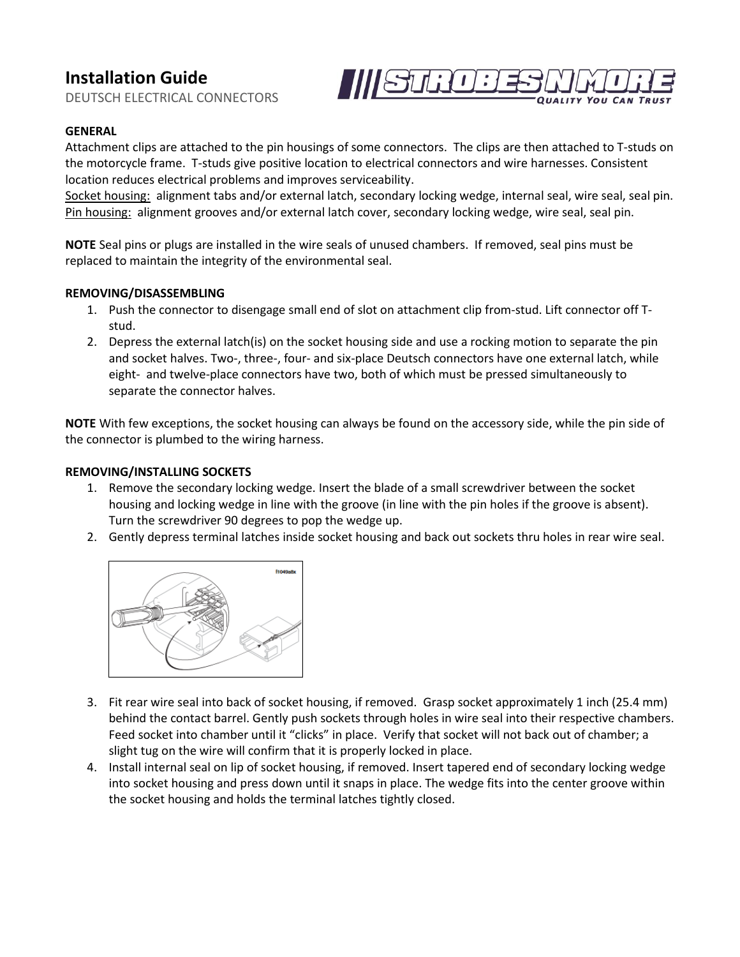# **Installation Guide**

DEUTSCH ELECTRICAL CONNECTORS



## **GENERAL**

Attachment clips are attached to the pin housings of some connectors. The clips are then attached to T-studs on the motorcycle frame. T-studs give positive location to electrical connectors and wire harnesses. Consistent location reduces electrical problems and improves serviceability.

Socket housing: alignment tabs and/or external latch, secondary locking wedge, internal seal, wire seal, seal pin. Pin housing: alignment grooves and/or external latch cover, secondary locking wedge, wire seal, seal pin.

**NOTE** Seal pins or plugs are installed in the wire seals of unused chambers. If removed, seal pins must be replaced to maintain the integrity of the environmental seal.

#### **REMOVING/DISASSEMBLING**

- 1. Push the connector to disengage small end of slot on attachment clip from-stud. Lift connector off Tstud.
- 2. Depress the external latch(is) on the socket housing side and use a rocking motion to separate the pin and socket halves. Two-, three-, four- and six-place Deutsch connectors have one external latch, while eight- and twelve-place connectors have two, both of which must be pressed simultaneously to separate the connector halves.

**NOTE** With few exceptions, the socket housing can always be found on the accessory side, while the pin side of the connector is plumbed to the wiring harness.

### **REMOVING/INSTALLING SOCKETS**

- 1. Remove the secondary locking wedge. Insert the blade of a small screwdriver between the socket housing and locking wedge in line with the groove (in line with the pin holes if the groove is absent). Turn the screwdriver 90 degrees to pop the wedge up.
- 2. Gently depress terminal latches inside socket housing and back out sockets thru holes in rear wire seal.



- 3. Fit rear wire seal into back of socket housing, if removed. Grasp socket approximately 1 inch (25.4 mm) behind the contact barrel. Gently push sockets through holes in wire seal into their respective chambers. Feed socket into chamber until it "clicks" in place. Verify that socket will not back out of chamber; a slight tug on the wire will confirm that it is properly locked in place.
- 4. Install internal seal on lip of socket housing, if removed. Insert tapered end of secondary locking wedge into socket housing and press down until it snaps in place. The wedge fits into the center groove within the socket housing and holds the terminal latches tightly closed.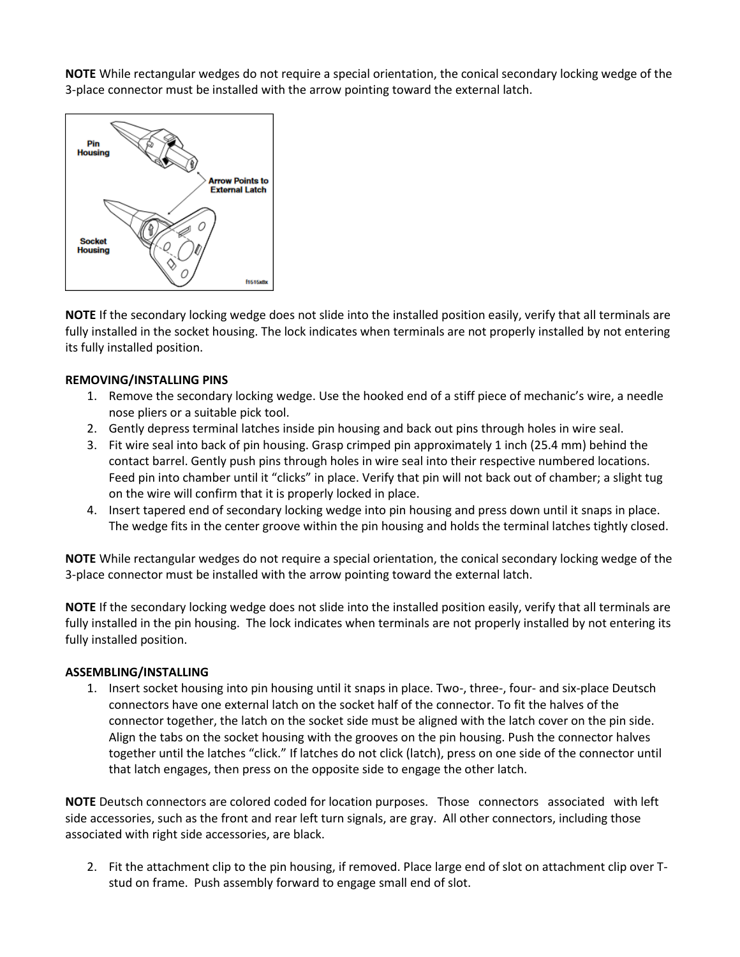**NOTE** While rectangular wedges do not require a special orientation, the conical secondary locking wedge of the 3-place connector must be installed with the arrow pointing toward the external latch.



**NOTE** If the secondary locking wedge does not slide into the installed position easily, verify that all terminals are fully installed in the socket housing. The lock indicates when terminals are not properly installed by not entering its fully installed position.

### **REMOVING/INSTALLING PINS**

- 1. Remove the secondary locking wedge. Use the hooked end of a stiff piece of mechanic's wire, a needle nose pliers or a suitable pick tool.
- 2. Gently depress terminal latches inside pin housing and back out pins through holes in wire seal.
- 3. Fit wire seal into back of pin housing. Grasp crimped pin approximately 1 inch (25.4 mm) behind the contact barrel. Gently push pins through holes in wire seal into their respective numbered locations. Feed pin into chamber until it "clicks" in place. Verify that pin will not back out of chamber; a slight tug on the wire will confirm that it is properly locked in place.
- 4. Insert tapered end of secondary locking wedge into pin housing and press down until it snaps in place. The wedge fits in the center groove within the pin housing and holds the terminal latches tightly closed.

**NOTE** While rectangular wedges do not require a special orientation, the conical secondary locking wedge of the 3-place connector must be installed with the arrow pointing toward the external latch.

**NOTE** If the secondary locking wedge does not slide into the installed position easily, verify that all terminals are fully installed in the pin housing. The lock indicates when terminals are not properly installed by not entering its fully installed position.

#### **ASSEMBLING/INSTALLING**

1. Insert socket housing into pin housing until it snaps in place. Two-, three-, four- and six-place Deutsch connectors have one external latch on the socket half of the connector. To fit the halves of the connector together, the latch on the socket side must be aligned with the latch cover on the pin side. Align the tabs on the socket housing with the grooves on the pin housing. Push the connector halves together until the latches "click." If latches do not click (latch), press on one side of the connector until that latch engages, then press on the opposite side to engage the other latch.

**NOTE** Deutsch connectors are colored coded for location purposes. Those connectors associated with left side accessories, such as the front and rear left turn signals, are gray. All other connectors, including those associated with right side accessories, are black.

2. Fit the attachment clip to the pin housing, if removed. Place large end of slot on attachment clip over Tstud on frame. Push assembly forward to engage small end of slot.